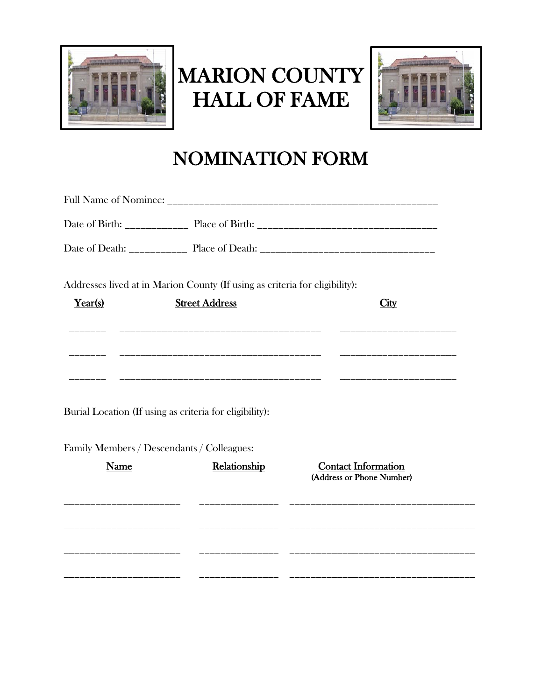

## MARION COUNTY HALL OF FAME



## NOMINATION FORM

|                         | Addresses lived at in Marion County (If using as criteria for eligibility): |                                                         |
|-------------------------|-----------------------------------------------------------------------------|---------------------------------------------------------|
| Year(s)                 | <b>Street Address</b>                                                       | City                                                    |
|                         |                                                                             |                                                         |
|                         |                                                                             | _______________________                                 |
|                         |                                                                             | _______________________                                 |
|                         |                                                                             |                                                         |
|                         |                                                                             |                                                         |
|                         | Family Members / Descendants / Colleagues:                                  |                                                         |
| Name                    | Relationship                                                                | <b>Contact Information</b><br>(Address or Phone Number) |
|                         |                                                                             | <u> 1989 - Johann Johnson, metalaus eta mendean e</u>   |
| ______________________  |                                                                             |                                                         |
|                         |                                                                             |                                                         |
| _______________________ |                                                                             |                                                         |